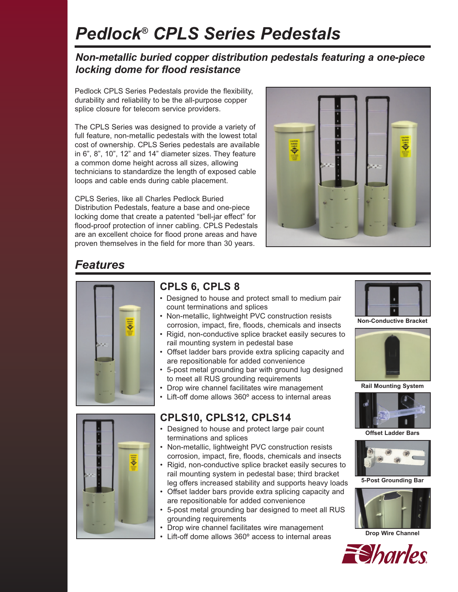# *Pedlock® CPLS Series Pedestals*

### *Non-metallic buried copper distribution pedestals featuring a one-piece locking dome for flood resistance*

Pedlock CPLS Series Pedestals provide the flexibility, durability and reliability to be the all-purpose copper splice closure for telecom service providers.

The CPLS Series was designed to provide a variety of full feature, non-metallic pedestals with the lowest total cost of ownership. CPLS Series pedestals are available in 6", 8", 10", 12" and 14" diameter sizes. They feature a common dome height across all sizes, allowing technicians to standardize the length of exposed cable loops and cable ends during cable placement.

CPLS Series, like all Charles Pedlock Buried Distribution Pedestals, feature a base and one-piece locking dome that create a patented "bell-jar effect" for flood-proof protection of inner cabling. CPLS Pedestals are an excellent choice for flood prone areas and have proven themselves in the field for more than 30 years.



### *Features*



### **CPLS 6, CPLS 8**

- Designed to house and protect small to medium pair count terminations and splices
- Non-metallic, lightweight PVC construction resists corrosion, impact, fire, floods, chemicals and insects
- Rigid, non-conductive splice bracket easily secures to rail mounting system in pedestal base
- Offset ladder bars provide extra splicing capacity and are repositionable for added convenience
- 5-post metal grounding bar with ground lug designed to meet all RUS grounding requirements
- Drop wire channel facilitates wire management
- Lift-off dome allows 360º access to internal areas

### **CPLS10, CPLS12, CPLS14**

- Designed to house and protect large pair count terminations and splices
- Non-metallic, lightweight PVC construction resists corrosion, impact, fire, floods, chemicals and insects
- Rigid, non-conductive splice bracket easily secures to rail mounting system in pedestal base; third bracket leg offers increased stability and supports heavy loads
- Offset ladder bars provide extra splicing capacity and are repositionable for added convenience
- 5-post metal grounding bar designed to meet all RUS grounding requirements
- Drop wire channel facilitates wire management
- Lift-off dome allows 360° access to internal areas



**Non-Conductive Bracket**



**Rail Mounting System**



**Offset Ladder Bars**



**5-Post Grounding Bar**



**Drop Wire Channel**